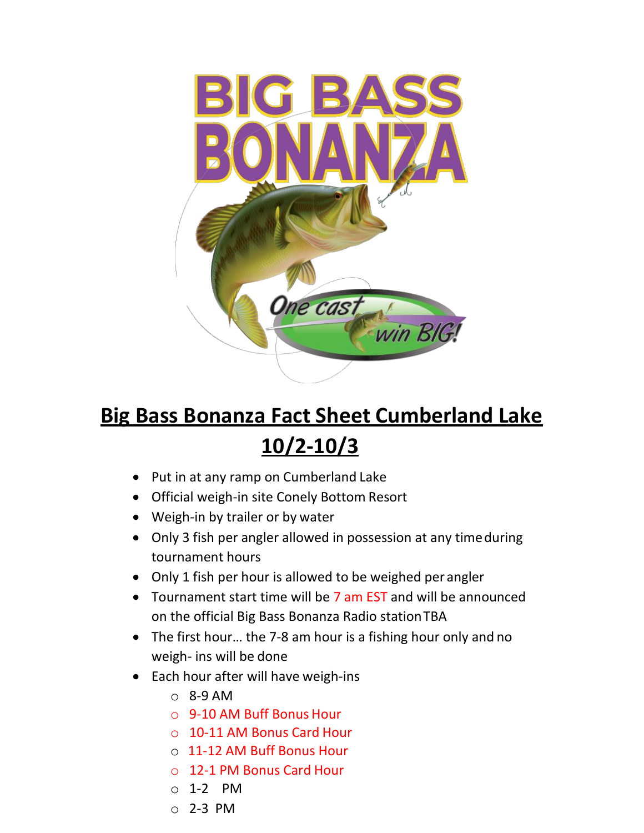

## **Big Bass Bonanza Fact Sheet Cumberland Lake 10/2-10/3**

- Put in at any ramp on Cumberland Lake
- Official weigh-in site Conely Bottom Resort
- Weigh-in by trailer or by water
- Only 3 fish per angler allowed in possession at any time during tournament hours
- Only 1 fish per hour is allowed to be weighed per angler
- Tournament start time will be 7 am EST and will be announced on the official Big Bass Bonanza Radio stationTBA
- The first hour… the 7-8 am hour is a fishing hour only and no weigh- ins will be done
- Each hour after will have weigh-ins
	- $O$  8-9 AM
	- o 9-10 AM Buff Bonus Hour
	- o 10-11 AM Bonus Card Hour
	- o 11-12 AM Buff Bonus Hour
	- o 12-1 PM Bonus Card Hour
	- o 1-2 PM
	- o 2-3 PM